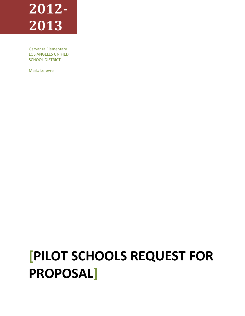# **2012- 2013**

Garvanza Elementary LOS ANGELES UNIFIED SCHOOL DISTRICT

Marla Lefevre

# **[PILOT SCHOOLS REQUEST FOR PROPOSAL]**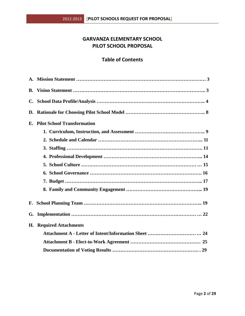# **GARVANZA ELEMENTARY SCHOOL PILOT SCHOOL PROPOSAL**

# **Table of Contents**

| В.             |                                    |  |  |
|----------------|------------------------------------|--|--|
| $\mathbf{C}$ . |                                    |  |  |
| D.             |                                    |  |  |
| E.             | <b>Pilot School Transformation</b> |  |  |
|                |                                    |  |  |
|                |                                    |  |  |
|                |                                    |  |  |
|                |                                    |  |  |
|                |                                    |  |  |
|                |                                    |  |  |
|                |                                    |  |  |
|                |                                    |  |  |
| F.             |                                    |  |  |
| G.             |                                    |  |  |
| Н.             | <b>Required Attachments</b>        |  |  |
|                |                                    |  |  |
|                |                                    |  |  |
|                |                                    |  |  |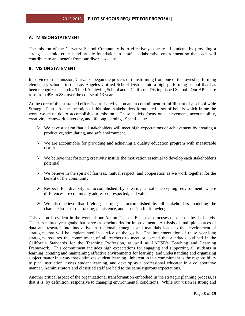#### **A. MISSION STATEMENT**

The mission of the Garvanza School Community is to effectively educate all students by providing a strong academic, ethical and artistic foundation in a safe, collaborative environment so that each will contribute to and benefit from our diverse society.

## **B. VISION STATEMENT**

In service of this mission, Garvanza began the process of transforming from one of the lowest performing elementary schools in the Los Angeles Unified School District into a high performing school that has been recognized as both a Title I Achieving School and a California Distinguished School. Our API score rose from 496 to 834 over the course of 13 years.

At the core of this sustained effort is our shared vision and a commitment to fulfillment of a school-wide Strategic Plan. At the inception of this plan, stakeholders formulated a set of beliefs which frame the work we must do to accomplish our mission. These beliefs focus on achievement, accountability, creativity, teamwork, diversity, and lifelong learning. Specifically:

- $\triangleright$  We have a vision that all stakeholders will meet high expectations of achievement by creating a productive, stimulating, and safe environment.
- $\triangleright$  We are accountable for providing and achieving a quality education program with measurable results.
- $\triangleright$  We believe that fostering creativity instills the motivation essential to develop each stakeholder's potential.
- $\triangleright$  We believe in the spirit of fairness, mutual respect, and cooperation as we work together for the benefit of the community.
- $\triangleright$  Respect for diversity is accomplished by creating a safe, accepting environment where differences are continually addressed, respected, and valued.
- $\triangleright$  We also believe that lifelong learning is accomplished by all stakeholders modeling the characteristics of risk-taking, persistence, and a passion for knowledge.

This vision is evident in the work of our Action Teams. Each team focuses on one of the six beliefs. Teams set three-year goals that serve as benchmarks for improvement. Analysis of multiple sources of data and research into innovative instructional strategies and materials leads to the development of strategies that will be implemented in service of the goals. The implementation of these year-long strategies requires the commitment of all teachers to meet or exceed the standards outlined in the California Standards for the Teaching Profession, as well as LAUSD's Teaching and Learning Framework. This commitment includes high expectations for engaging and supporting all students in learning, creating and maintaining effective environments for learning, and understanding and organizing subject matter in a way that optimizes student learning. Inherent in this commitment is the responsibility to plan instruction, assess student learning, and develop as a professional educator in a collaborative manner. Administrators and classified staff are held to the same rigorous expectations.

Another critical aspect of the organizational transformation embodied in the strategic planning process, is that it is, by definition, responsive to changing environmental conditions. While our vision is strong and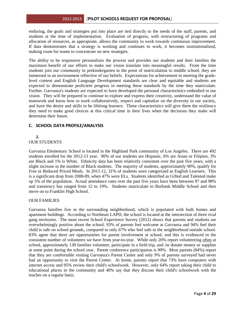enduring, the goals and strategies put into place are tied directly to the needs of the staff, parents, and students at the time of implementation. Evaluation of progress, with restructuring of programs and allocation of resources, as appropriate, allows the community to work towards continuous improvement. If data demonstrates that a strategy is working and continues to work, it becomes institutionalized, making room for teams to concentrate on new strategies.

The ability to be responsive personalizes the process and provides our students and their families the maximum benefit of our efforts to make our vision translate into meaningful results. From the time students join our community in prekindergarten to the point of matriculation to middle school, they are immersed in an environment reflective of our beliefs. Expectations for achievement in meeting the gradelevel content and English Language Development standards are clear and equitable and students are expected to demonstrate proficient progress in meeting these standards by the time they matriculate. Further, Garvanza's students are expected to have developed the personal characteristics embodied in our vision. They will be prepared to continue to explore and express their creativity, understand the value of teamwork and know how to work collaboratively, respect and capitalize on the diversity in our society, and have the desire and skills to be lifelong learners. These characteristics will give them the resiliency they need to make good choices at this critical time in their lives when the decisions they make will determine their future.

# **C. SCHOOL DATA PROFILE/ANALYSIS**

#### *1.* OUR STUDENTS

Garvanza Elementary School is located in the Highland Park community of Los Angeles. There are 492 students enrolled for the 2012-13 year. 90% of our students are Hispanic, 6% are Asian or Filipino, 3% are Black and 1% is White. Ethnicity data has been relatively consistent over the past five years, with a slight increase in the number of Black students. The majority of students, approximately 90%, qualify for Free or Reduced Priced Meals. In 2011-12, 31% of students were categorized as English Learners. This is a significant drop from 2008-09, when 47% were ELs. Students identified as Gifted and Talented make up 5% of the population. Actual attendance rates over the past five years have been between 97 and 98% and transiency has ranged from 12 to 19%. Students matriculate to Burbank Middle School and then move on to Franklin High School.

# OUR FAMILIES

Garvanza families live in the surrounding neighborhood, which is populated with both homes and apartment buildings. According to Northeast LAPD, the school is located at the intersection of three rival gang territories. The most recent School Experience Survey (2012) shows that parents and students are overwhelmingly positive about the school. 93% of parents feel welcome at Garvanza and 94% feel their child is safe on school grounds, compared to only 67% who feel safe in the neighborhood outside school. 83% agree that there are opportunities for parent involvement at school, and this is evidenced in the consistent number of volunteers we have from year-to-year. While only 20% report volunteering often at school, approximately 130 families volunteer, participate in a field trip, and /or donate money or supplies at some point during the school year. Parent conference participation is 99%. Most parents (84%) report that they are comfortable visiting Garvanza's Parent Center and only 9% of parents surveyed had never had an opportunity to visit the Parent Center. At home, parents report that 73% have computers with internet access and 95% review their child's schoolwork. However, only 64% report taking their child to educational places in the community and 40% say that they discuss their child's schoolwork with the teacher on a regular basis.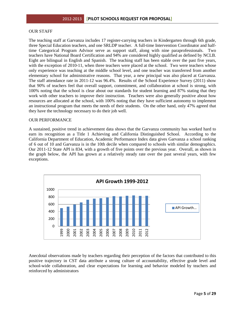#### OUR STAFF

The teaching staff at Garvanza includes 17 register-carrying teachers in Kindergarten through 6th grade, three Special Education teachers, and one SRLDP teacher. A full-time Intervention Coordinator and halftime Categorical Program Advisor serve as support staff, along with nine paraprofessionals. Two teachers have National Board Certification and 94% are considered highly qualified as defined by NCLB. Eight are bilingual in English and Spanish. The teaching staff has been stable over the past five years, with the exception of 2010-11, when three teachers were placed at the school. Two were teachers whose only experience was teaching at the middle school level, and one teacher was transferred from another elementary school for administrative reasons. That year, a new principal was also placed at Garvanza. The staff attendance rate in 2011-12 was 96.4%. Results of the School Experience Survey (2011) show that 90% of teachers feel that overall support, commitment, and collaboration at school is strong, with 100% noting that the school is clear about our standards for student learning and 87% stating that they work with other teachers to improve their instruction. Teachers were also generally positive about how resources are allocated at the school, with 100% noting that they have sufficient autonomy to implement an instructional program that meets the needs of their students. On the other hand, only 47% agreed that they have the technology necessary to do their job well.

#### OUR PERFORMANCE

A sustained, positive trend in achievement data shows that the Garvanza community has worked hard to earn its recognition as a Title 1 Achieving and California Distinguished School. According to the California Department of Education, Academic Performance Index data gives Garvanza a school ranking of 6 out of 10 and Garvanza is in the 10th decile when compared to schools with similar demographics. Our 2011-12 State API is 834, with a growth of five points over the previous year. Overall, as shown in the graph below, the API has grown at a relatively steady rate over the past several years, with few exceptions.



Anecdotal observations made by teachers regarding their perception of the factors that contributed to this positive trajectory in CST data attribute a strong culture of accountability, effective grade level and school-wide collaboration, and clear expectations for learning and behavior modeled by teachers and reinforced by administrators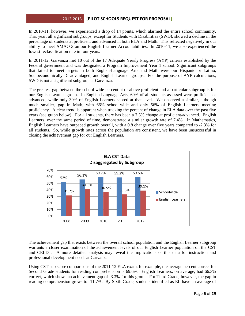In 2010-11, however, we experienced a drop of 14 points, which alarmed the entire school community. That year, all significant subgroups, except for Students with Disabilities (SWD), showed a decline in the percentage of students at proficient and advanced in both ELA and Math. This reflected negatively in our ability to meet AMAO 3 on our English Learner Accountabilities. In 2010-11, we also experienced the lowest reclassification rate in four years.

In 2011-12, Garvanza met 10 out of the 17 Adequate Yearly Progress (AYP) criteria established by the Federal government and was designated a Program Improvement Year 1 school. Significant subgroups that failed to meet targets in both English-Language Arts and Math were our Hispanic or Latino, Socioeconomically Disadvantaged, and English Learner groups. For the purpose of AYP calculations, SWD is not a significant subgroup at Garvanza.

The greatest gap between the school-wide percent at or above proficient and a particular subgroup is for our English Learner group. In English-Language Arts, 60% of all students assessed were proficient or advanced, while only 39% of English Learners scored at that level. We observed a similar, although much smaller, gap in Math, with 66% school-wide and only 56% of English Learners meeting proficiency. A clear trend is apparent when tracking the percent of change in ELA data over the past five years (see graph below). For all students, there has been a 7.5% change at proficient/advanced. English Learners, over the same period of time, demonstrated a similar growth rate of 7.4%. In Mathematics, English Learners have outpaced growth overall, with a 0.8 change over five years compared to -2.3% for all students. So, while growth rates across the population are consistent, we have been unsuccessful in closing the achievement gap for our English Learners.



The achievement gap that exists between the overall school population and the English Learner subgroup warrants a closer examination of the achievement levels of our English Learner population on the CST and CELDT. A more detailed analysis may reveal the implications of this data for instruction and professional development needs at Garvanza.

Using CST sub score comparisons of the 2011-12 ELA exam, for example, the average percent correct for Second Grade students for reading comprehension is 69.6%. English Learners, on average, had 66.3% correct, which shows an achievement gap of -3.3% for this group. For Third Grade, however, the gap in reading comprehension grows to -11.7%. By Sixth Grade, students identified as EL have an average of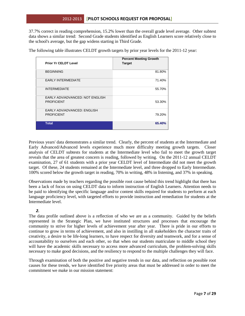37.7% correct in reading comprehension, 15.2% lower than the overall grade level average. Other subtest data shows a similar trend: Second Grade students identified as English Learners score relatively close to the school's average, but the gap widens starting in Third Grade.

The following table illustrates CELDT growth targets by prior year levels for the 2011-12 year:

| <b>Prior Yr CELDT Level</b>                          | <b>Percent Meeting Growth</b><br><b>Target</b> |
|------------------------------------------------------|------------------------------------------------|
| <b>BEGINNING</b>                                     | 81.80%                                         |
| <b>EARLY INTERMEDIATE</b>                            | 71.40%                                         |
| <b>INTERMEDIATE</b>                                  | 55.70%                                         |
| EARLY ADV/ADVANCED: NOT ENGLISH<br><b>PROFICIENT</b> | 53.30%                                         |
| EARLY ADV/ADVANCED: ENGLISH<br><b>PROFICIENT</b>     | 79.20%                                         |
| <b>Total</b>                                         | 65.40%                                         |

Previous years' data demonstrates a similar trend. Clearly, the percent of students at the Intermediate and Early Advanced/Advanced levels experience much more difficulty meeting growth targets. Closer analysis of CELDT subtests for students at the Intermediate level who fail to meet the growth target reveals that the area of greatest concern is reading, followed by writing. On the 2011-12 annual CELDT examination, 27 of 61 students with a prior year CELDT level of Intermediate did not meet the growth target. Of these, 24 students remained at the Intermediate level, and three dropped to Early Intermediate. 100% scored below the growth target in reading, 70% in writing, 48% in listening, and 37% in speaking.

Observations made by teachers regarding the possible root cause behind this trend highlight that there has been a lack of focus on using CELDT data to inform instruction of English Learners. Attention needs to be paid to identifying the specific language and/or content skills required for students to perform at each language proficiency level, with targeted efforts to provide instruction and remediation for students at the Intermediate level.

# *2.*

The data profile outlined above is a reflection of who we are as a community. Guided by the beliefs represented in the Strategic Plan, we have instituted structures and processes that encourage the community to strive for higher levels of achievement year after year. There is pride in our efforts to continue to grow in terms of achievement, and also in instilling in all stakeholders the character traits of creativity, a desire to be life-long learners, to have respect for diversity and teamwork, and for a sense of accountability to ourselves and each other, so that when our students matriculate to middle school they will have the academic skills necessary to access more advanced curriculum, the problem-solving skills necessary to make good decisions, and the resiliency to respond to the multiple challenges they will face.

Through examination of both the positive and negative trends in our data, and reflection on possible root causes for these trends, we have identified five priority areas that must be addressed in order to meet the commitment we make in our mission statement: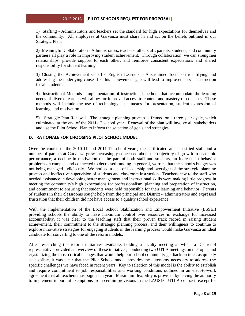1) Staffing - Administrators and teachers set the standard for high expectations for themselves and the community. All employees at Garvanza must share in and act on the beliefs outlined in our Strategic Plan.

2) Meaningful Collaboration - Administrators, teachers, other staff, parents, students, and community partners all play a role in improving student achievement. Through collaboration, we can strengthen relationships, provide support to each other, and reinforce consistent expectations and shared responsibility for student learning.

3) Closing the Achievement Gap for English Learners - A sustained focus on identifying and addressing the underlying causes for this achievement gap will lead to improvements in instruction for all students.

4) Instructional Methods - Implementation of instructional methods that accommodate the learning needs of diverse learners will allow for improved access to content and mastery of concepts. These methods will include the use of technology as a means for presentation, student expression of learning, and motivation.

5) Strategic Plan Renewal - The strategic planning process is framed on a three-year cycle, which culminated at the end of the 2011-12 school year. Renewal of the plan will involve all stakeholders and use the Pilot School Plan to inform the selection of goals and strategies.

# **D. RATIONALE FOR CHOOSING PILOT SCHOOL MODEL**

Over the course of the 2010-11 and 2011-12 school years, the certificated and classified staff and a number of parents at Garvanza grew increasingly concerned about the trajectory of growth in academic performance, a decline in motivation on the part of both staff and students, an increase in behavior problems on campus, and connected to decreased funding in general, worries that the school's budget was not being managed judiciously. We noticed a lack of leadership and oversight of the strategic planning process and ineffective supervision of students and classroom instruction. Teachers new to the staff who needed assistance in developing better management and instructional skills were making little progress in meeting the community's high expectations for professionalism, planning and preparation of instruction, and commitment to ensuring that students were held responsible for their learning and behavior. Parents of students in their classrooms sought help from the principal and District 4 administrators and expressed frustration that their children did not have access to a quality school experience.

With the implementation of the Local School Stabilization and Empowerment Initiative (LSSEI) providing schools the ability to have maximum control over resources in exchange for increased accountability, it was clear to the teaching staff that their proven track record in raising student achievement, their commitment to the strategic planning process, and their willingness to continue to explore innovative strategies for engaging students in the learning process would make Garvanza an ideal candidate for converting to one of the reform models.

After researching the reform initiatives available, holding a faculty meeting at which a District 4 representative provided an overview of these initiatives, conducting two UTLA meetings on the topic, and crystallizing the most critical changes that would help our school community get back on track as quickly as possible, it was clear that the Pilot School model provides the autonomy necessary to address the specific challenges we have faced in recent years. Key to selection of this model is the ability to establish and require commitment to job responsibilities and working conditions outlined in an elect-to-work agreement that all teachers must sign each year. Maximum flexibility is provided by having the authority to implement important exemptions from certain provisions in the LAUSD - UTLA contract, except for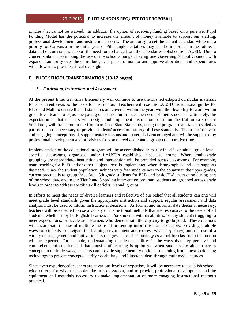articles that cannot be waived. In addition, the option of receiving funding based on a pure Per Pupil Funding Model has the potential to increase the amount of money available to support our staffing, professional development, and instructional needs. The authority to set the annual calendar, while not a priority for Garvanza in the initial year of Pilot implementation, may also be important in the future, if data and circumstances support the need for a change from the calendar established by LAUSD. Due to concerns about maximizing the use of the school's budget, having one Governing School Council, with expanded authority over the entire budget, in place to monitor and approve allocations and expenditures will allow us to provide critical oversight.

# **E. PILOT SCHOOL TRANSFORMATION (10-12 pages)**

#### *1. Curriculum, Instruction, and Assessment*

At the present time, Garvanza Elementary will continue to use the District-adopted curricular materials for all content areas as the basis for instruction. Teachers will use the LAUSD instructional guides for ELA and Math to ensure that all standards are covered within the year, with the flexibility to work within grade level teams to adjust the pacing of instruction to meet the needs of their students. Ultimately, the expectation is that teachers will design and implement instruction based on the California Content Standards, with transition to the Common Core State Standards, using the program materials provided as part of the tools necessary to provide students' access to mastery of these standards. The use of relevant and engaging concept-based, supplementary lessons and materials is encouraged and will be supported by professional development and provisions for grade-level and content group collaborative time.

Implementation of the educational program will be accomplished primarily in self-contained, grade-levelspecific classrooms, organized under LAUSD's established class-size norms. Where multi-grade groupings are appropriate, instruction and intervention will be provided across classrooms. For example, team teaching for ELD and/or other subject areas is implemented when demographics and data supports the need. Since the student population includes very few students new to the country in the upper grades, current practice is to group these 3rd - 6th grade students for ELD and basic ELA instruction during part of the school day, and in our Tier 2 and 3 reading intervention program, students are grouped across grade levels in order to address specific skill deficits in small groups.

In efforts to meet the needs of diverse learners and reflective of our belief that all students can and will meet grade level standards given the appropriate instruction and support, regular assessment and data analysis must be used to inform instructional decisions. As formal and informal data deems it necessary, teachers will be expected to use a variety of instructional methods that are responsive to the needs of all students, whether they be English Learners and/or students with disabilities, or any student struggling to meet expectations, or accelerated learners who demonstrate the capacity to go beyond. These methods will incorporate the use of multiple means of presenting information and concepts, providing multiple ways for students to navigate the learning environment and express what they know, and the use of a variety of engagement and motivational strategies. Use of technology as a tool for classroom instruction will be expected. For example, understanding that learners differ in the ways that they perceive and comprehend information and that transfer of learning is optimized when students are able to access concepts in multiple ways, teachers can provide supplementary options to learning from a textbook using technology to present concepts, clarify vocabulary, and illustrate ideas through multimedia sources.

Since even experienced teachers are at various levels of expertise, it will be necessary to establish schoolwide criteria for what this looks like in a classroom, and to provide professional development and the equipment and materials necessary to make implementation of more engaging instructional methods practical.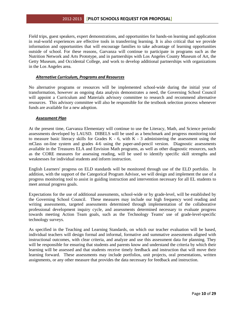Field trips, guest speakers, expert demonstrations, and opportunities for hands-on learning and application in real-world experiences are effective tools in transferring learning. It is also critical that we provide information and opportunities that will encourage families to take advantage of learning opportunities outside of school. For these reasons, Garvanza will continue to participate in programs such as the Nutrition Network and Arts Prototype, and in partnerships with Los Angeles County Museum of Art, the Getty Museum, and Occidental College, and work to develop additional partnerships with organizations in the Los Angeles area.

#### *Alternative Curriculum, Programs and Resources*

No alternative programs or resources will be implemented school-wide during the initial year of transformation, however as ongoing data analysis demonstrates a need, the Governing School Council will appoint a Curriculum and Materials advisory committee to research and recommend alternative resources. This advisory committee will also be responsible for the textbook selection process whenever funds are available for a new adoption.

#### *Assessment Plan*

At the present time, Garvanza Elementary will continue to use the Literacy, Math, and Science periodic assessments developed by LAUSD. DIBELS will be used as a benchmark and progress monitoring tool to measure basic literacy skills for Grades  $K - 6$ , with  $K - 3$  administering the assessment using the mClass on-line system and grades 4-6 using the paper-and-pencil version. Diagnostic assessments available in the Treasures ELA and Envision Math programs, as well as other diagnostic resources, such as the CORE measures for assessing reading, will be used to identify specific skill strengths and weaknesses for individual students and inform instruction.

English Learners' progress on ELD standards will be monitored through use of the ELD portfolio. In addition, with the support of the Categorical Program Advisor, we will design and implement the use of a progress monitoring tool to assist in guiding instruction and intervention necessary for all EL students to meet annual progress goals.

Expectations for the use of additional assessments, school-wide or by grade-level, will be established by the Governing School Council. These measures may include our high frequency word reading and writing assessments, targeted assessments determined through implementation of the collaborative professional development inquiry cycle, and assessments determined necessary to evaluate progress towards meeting Action Team goals, such as the Technology Teams' use of grade-level-specific technology surveys.

As specified in the Teaching and Learning Standards, on which our teacher evaluation will be based, individual teachers will design formal and informal, formative and summative assessments aligned with instructional outcomes, with clear criteria, and analyze and use this assessment data for planning. They will be responsible for ensuring that students and parents know and understand the criteria by which their learning will be assessed and that students receive timely feedback and instruction that will move their learning forward. These assessments may include portfolios, unit projects, oral presentations, written assignments, or any other measure that provides the data necessary for feedback and instruction.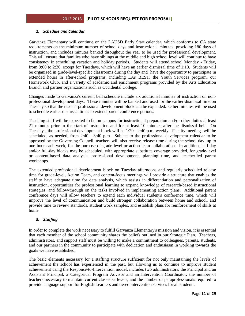### *2. Schedule and Calendar*

Garvanza Elementary will continue on the LAUSD Early Start calendar, which conforms to CA state requirements on the minimum number of school days and instructional minutes, providing 180 days of instruction, and includes minutes banked throughout the year to be used for professional development. This will ensure that families who have siblings at the middle and high school level will continue to have consistency in scheduling vacation and holiday periods. Students will attend school Monday - Friday, from 8:00 to 2:30, except for Tuesdays, which will have an earlier dismissal time of 1:10. Students will be organized in grade-level-specific classrooms during the day and have the opportunity to participate in extended hours in after-school programs, including LAs BEST, the Youth Services program, our Homework Club, and a variety of academic and enrichment programs provided by the Arts Education Branch and partner organizations such as Occidental College.

Changes made to Garvanza's current bell schedule include six additional minutes of instruction on nonprofessional development days. These minutes will be banked and used for the earlier dismissal time on Tuesday so that the teacher professional development block can be expanded. Other minutes will be used to schedule earlier dismissal times to extend parent conference periods.

Teaching staff will be expected to be on-campus for instructional preparation and/or other duties at least 21 minutes prior to the start of instruction and for at least 10 minutes after the dismissal bell. On Tuesdays, the professional development block will be 1:20 - 2:40 p.m. weekly. Faculty meetings will be scheduled, as needed, from 2:40 - 3:40 p.m. Subject to the professional development calendar to be approved by the Governing Council, teachers will also receive release time during the school day, up to one hour each week, for the purpose of grade level or action team collaboration. In addition, half-day and/or full-day blocks may be scheduled, with appropriate substitute coverage provided, for grade-level or content-based data analysis, professional development, planning time, and teacher-led parent workshops.

The extended professional development block on Tuesday afternoons and regularly scheduled release time for grade-level, Action Team, and content-focus meetings will provide a structure that enables the staff to have adequate time for data analysis, which assists in differentiation and personalization of instruction, opportunities for professional learning to expand knowledge of research-based instructional strategies, and follow-through on the tasks involved in implementing action plans. Additional parent conference days will allow teachers to extend each individual student's conference time, which will improve the level of communication and build stronger collaboration between home and school, and provide time to review standards, student work samples, and establish plans for reinforcement of skills at home.

# *3. Staffing*

In order to complete the work necessary to fulfill Garvanza Elementary's mission and vision, it is essential that each member of the school community shares the beliefs outlined in our Strategic Plan. Teachers, administrators, and support staff must be willing to make a commitment to colleagues, parents, students, and our partners in the community to participate with dedication and enthusiasm in working towards the goals we have established.

The basic elements necessary for a staffing structure sufficient for not only maintaining the levels of achievement the school has experienced in the past, but allowing us to continue to improve student achievement using the Response-to-Intervention model, includes two administrators, the Principal and an Assistant Principal, a Categorical Program Advisor and an Intervention Coordinator, the number of teachers necessary to maintain current class-size levels, and the number of paraprofessionals required to provide language support for English Learners and tiered intervention services for all students.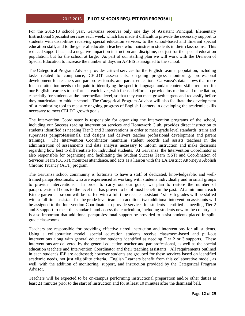For the 2012-13 school year, Garvanza receives only one day of Assistant Principal, Elementary Instructional Specialist services each week, which has made it difficult to provide the necessary support to students with disabilities receiving special education services, to the school-based and itinerant special education staff, and to the general education teachers who mainstream students in their classrooms. This reduced support has had a negative impact on instruction and discipline, not just for the special education population, but for the school at large. As part of our staffing plan we will work with the Division of Special Education to increase the number of days an AP,EIS is assigned to the school.

The Categorical Program Advisor provides critical services for the English Learner population, including tasks related to compliance, CELDT assessments, on-going progress monitoring, professional development for teachers and paraprofessionals, and parent education. Garvanza's data shows that more focused attention needs to be paid to identifying the specific language and/or content skills required for our English Learners to perform at each level, with focused efforts to provide instruction and remediation, especially for students at the Intermediate level, so that they can meet growth targets and reclassify before they matriculate to middle school. The Categorical Program Advisor will also facilitate the development of a monitoring tool to measure ongoing progress of English Learners in developing the academic skills necessary to meet CELDT growth goals.

The Intervention Coordinator is responsible for organizing the intervention programs of the school, including our Success reading intervention services and Homework Club, provides direct instruction to students identified as needing Tier 2 and 3 interventions in order to meet grade level standards, trains and supervises paraprofessionals, and designs and delivers teacher professional development and parent trainings. The Intervention Coordinator maintains student records and assists teachers in the administration of assessments and data analysis necessary to inform instruction and make decisions regarding how best to differentiate for individual students. At Garvanza, the Intervention Coordinator is also responsible for organizing and facilitating the Student Success Team (SST) and Coordination of Services Team (COST), monitors attendance, and acts as a liaison with the LA District Attorney's Abolish Chronic Truancy (ACT) program.

The Garvanza school community is fortunate to have a staff of dedicated, knowledgeable, and welltrained paraprofessionals, who are experienced at working with students individually and in small groups to provide interventions. In order to carry out our goals, we plan to restore the number of paraprofessional hours to the level that has proven to be of most benefit in the past. At a minimum, each Kindergarten classroom will be staffed with a full-time teacher assistant. 1st - 6th grades will be staffed with a full-time assistant for the grade level team. In addition, two additional intervention assistants will be assigned to the Intervention Coordinator to provide services for students identified as needing Tier 2 and 3 support to meet the standards and access the curriculum, including students new to the country. It is also important that additional paraprofessional support be provided to assist students placed in splitgrade classrooms.

Teachers are responsible for providing effective tiered instruction and interventions for all students. Using a collaborative model, special education students receive classroom-based and pull-out interventions along with general education students identified as needing Tier 2 or 3 supports. These interventions are delivered by the general education teacher and paraprofessional, as well as the special education teachers and Intervention Coordinator and their teaching assistants. All requirements outlined in each student's IEP are addressed; however students are grouped for these services based on identified academic needs, not just eligibility criteria. English Learners benefit from this collaborative model, as well, with the addition of monitoring, support, and instruction provided by the Categorical Program Advisor.

Teachers will be expected to be on-campus performing instructional preparation and/or other duties at least 21 minutes prior to the start of instruction and for at least 10 minutes after the dismissal bell.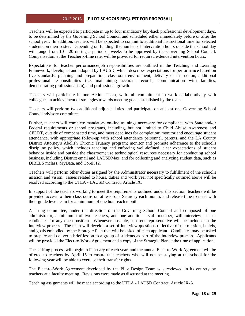Teachers will be expected to participate in up to four mandatory buy-back professional development days, to be determined by the Governing School Council and scheduled either immediately before or after the school year. In addition, teachers will be expected to commit to additional instructional time for selected students on their roster. Depending on funding, the number of intervention hours outside the school day will range from 10 - 20 during a period of weeks to be approved by the Governing School Council. Compensation, at the Teacher x-time rate, will be provided for required extended intervention hours.

Expectations for teacher performance/job responsibilities are outlined in the Teaching and Learning Framework, developed and adopted by LAUSD, which describes expectations for performance based on five standards: planning and preparation, classroom environment, delivery of instruction, additional professional responsibilities (i.e. maintaining accurate records, communication with families, demonstrating professionalism), and professional growth.

Teachers will participate in one Action Team, with full commitment to work collaboratively with colleagues in achievement of strategies towards meeting goals established by the team.

Teachers will perform two additional adjunct duties and participate on at least one Governing School Council advisory committee.

Further, teachers will complete mandatory on-line trainings necessary for compliance with State and/or Federal requirements or school programs, including, but not limited to Child Abuse Awareness and CELDT, outside of compensated time, and meet deadlines for completion; monitor and encourage student attendance, with appropriate follow-up with school attendance personnel, parents, and the LA County District Attorney's Abolish Chronic Truancy program; monitor and promote adherence to the school's discipline policy, which includes teaching and enforcing well-defined, clear expectations of student behavior inside and outside the classroom; use technological resources necessary for conducting school business, including District email and LAUSDMax, and for collecting and analyzing student data, such as DIBELS mclass, MyData, and CoreK12.

Teachers will perform other duties assigned by the Administrator necessary to fulfillment of the school's mission and vision. Issues related to hours, duties and work year not specifically outlined above will be resolved according to the UTLA - LAUSD Contract, Article IX.

In support of the teachers working to meet the requirements outlined under this section, teachers will be provided access to their classrooms on at least one Saturday each month, and release time to meet with their grade level team for a minimum of one hour each month.

A hiring committee, under the direction of the Governing School Council and composed of one administrator, a minimum of two teachers, and one additional staff member, will interview teacher candidates for any open position. Whenever possible, a parent representative will be included in the interview process. The team will develop a set of interview questions reflective of the mission, beliefs, and goals embodied by the Strategic Plan that will be asked of each applicant. Candidates may be asked to prepare and deliver a brief lesson to a group of students as part of the interview process. Applicants will be provided the Elect-to-Work Agreement and a copy of the Strategic Plan at the time of application.

The staffing process will begin in February of each year, and the annual Elect-to-Work Agreement will be offered to teachers by April 15 to ensure that teachers who will not be staying at the school for the following year will be able to exercise their transfer rights.

The Elect-to-Work Agreement developed by the Pilot Design Team was reviewed in its entirety by teachers at a faculty meeting. Revisions were made as discussed at the meeting.

Teaching assignments will be made according to the UTLA - LAUSD Contract, Article IX-A.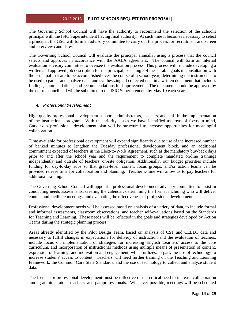The Governing School Council will have the authority to recommend the selection of the school's principal with the ISIC Superintendent having final authority. At such time it becomes necessary to select a principal, the GSC will form an advisory committee to carry out the process for recruitment and screen and interview candidates.

The Governing School Council will evaluate the principal annually, using a process that the council selects and approves in accordance with the AALA agreement. The council will form an internal evaluation advisory committee to oversee the evaluation process This process will include developing a written and approved job description for the principal, selecting 3-4 measurable goals in consultation with the principal that are to be accomplished over the course of a school year, determining the instruments to be used to gather and analyze data, and synthesizing all collected data in a written document that includes findings, commendations, and recommendations for improvement. The document should be approved by the entire council and will be submitted to the ISIC Superintendent by May 10 each year.

# *4. Professional Development*

High-quality professional development supports administrators, teachers, and staff in the implementation of the instructional program. With the priority issues we have identified as areas of focus in mind, Garvanza's professional development plan will be structured to increase opportunites for meaningful collaboration.

Time available for professional development will expand significantly due to use of the increased number of banked minutes to lengthen the Tuesday professional development block, and an additional commitment expected of teachers in the Elect-to-Work Agreement, such as the mandatory buy-back days prior to and after the school year and the requirement to complete mandated on-line trainings independently and outside of teachers' on-site obligation. Additionally, our budget priorities include funding for day-to-day subs so that grade-level, content focus groups, and/or action teams can be provided release time for collaboration and planning. Teacher x-time will allow us to pay teachers for additional training.

The Governing School Council will appoint a professional development advisory committee to assist in conducting needs assessments, creating the calendar, determining the format including who will deliver content and facilitate meetings, and evaluating the effectiveness of professional development.

Professional development needs will be assessed based on analysis of a variety of data, to include formal and informal assessments, classroom observations, and teacher self-evaluations based on the Standards for Teaching and Learning. These needs will be reflected in the goals and strategies developed by Action Teams during the strategic planning process.

Areas already identified by the Pilot Design Team, based on analysis of CST and CELDT data and necessary to fulfill changes in expectations for delivery of instruction and the evaluation of teachers, include focus on implementation of strategies for increasing English Learners' access to the core curriculum, and incorporation of instructional methods using multiple means of presentation of content, expression of learning, and motivation and engagement, which utilizes, in part, the use of technology to increase students' access to content. Teachers will need further training on the Teaching and Learning Framework, the Common Core State Standards, and the use of technology to collect and analyze student data.

The format for professional development must be reflective of the critical need to increase collaboration among administrators, teachers, and paraprofessionals. Whenever possible, meetings will be scheduled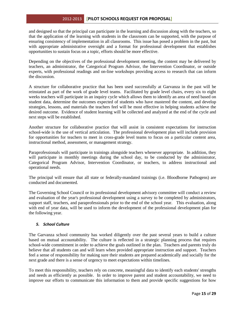and designed so that the principal can participate in the learning and discussion along with the teachers, so that the application of the learning with students in the classroom can be supported, with the purpose of ensuring consistency of implementation in all classrooms. This issue has posed a problem in the past, but with appropriate administrative oversight and a format for professional development that establishes opportunities to sustain focus on a topic, efforts should be more effective.

Depending on the objectives of the professional development meeting, the content may be delivered by teachers, an administrator, the Categorical Program Advisor, the Intervention Coordinator, or outside experts, with professional readings and on-line workshops providing access to research that can inform the discussion.

A structure for collaborative practice that has been used successfully at Garvanza in the past will be reinstated as part of the work of grade level teams. Facilitated by grade level chairs, every six to eight weeks teachers will participate in an inquiry cycle which allows them to identify an area of need based on student data, determine the outcomes expected of students who have mastered the content, and develop strategies, lessons, and materials the teachers feel will be most effective in helping students achieve the desired outcome. Evidence of student learning will be collected and analyzed at the end of the cycle and next steps will be established.

Another structure for collaborative practice that will assist in consistent expectations for instruction school-wide is the use of vertical articulation. The professional development plan will include provision for opportunities for teachers to meet in cross-grade level teams to focus on a particular content area, instructional method, assessment, or management strategy.

Paraprofessionals will participate in trainings alongside teachers whenever appropriate. In addition, they will participate in monthly meetings during the school day, to be conducted by the administrator, Categorical Program Advisor, Intervention Coordinator, or teachers, to address instructional and operational needs.

The principal will ensure that all state or federally-mandated trainings (i.e. Bloodborne Pathogens) are conducted and documented.

The Governing School Council or its professional development advisory committee will conduct a review and evaluation of the year's professional development using a survey to be completed by administrators, support staff, teachers, and paraprofessionals prior to the end of the school year. This evaluation, along with end of year data, will be used to inform the development of the professional development plan for the following year.

# *5. School Culture*

The Garvanza school community has worked diligently over the past several years to build a culture based on mutual accountability. The culture is reflected in a strategic planning process that requires school-wide commitment in order to achieve the goals outlined in the plan. Teachers and parents truly do believe that all students can and will learn when provided appropriate instruction and support. Teachers feel a sense of responsibility for making sure their students are prepared academically and socially for the next grade and there is a sense of urgency to meet expectations within timelines.

To meet this responsibility, teachers rely on concrete, meaningful data to identify each students' strengths and needs as efficiently as possible. In order to improve parent and student accountability, we need to improve our efforts to communicate this information to them and provide specific suggestions for how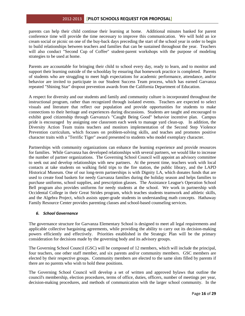parents can help their child continue their learning at home. Additional minutes banked for parent conference time will provide the time necessary to improve this communication. We will hold an ice cream social or picnic on one of the buy-back days preceding the start of the school year in order to begin to build relationships between teachers and families that can be sustained throughout the year. Teachers will also conduct "Second Cup of Coffee" student-parent workshops with the purpose of modeling strategies to be used at home.

Parents are accountable for bringing their child to school every day, ready to learn, and to monitor and support their learning outside of the schoolday by ensuring that homework practice is completed. Parents of students who are struggling to meet high expectations for academic performance, attendance, and/or behavior are invited to participate in our Student Success Team process, which has earned Garvanza repeated "Shining Star" dropout prevention awards from the California Department of Education.

A respect for diversity and our students and family and community culture is incorporated throughout the instructional program, rather than recognized through isolated events. Teachers are expected to select visuals and literature that reflect our population and provide opportunities for students to make connections to their heritage and experiences during discussions. Students are taught and encouraged to exhibit good citizenship through Garvanza's "Caught Being Good" behavior incentive plan. Campus pride is encouraged by assigning one classroom each week to manage yard clean-up. In addition, the Diversity Action Team trains teachers and monitors implementation of the Second Step Violence Prevention curriculum, which focuses on problem-solving skills, and teaches and promotes positive character traits with a "Terrific Tiger" award presented to students who model exemplary character.

Partnerships with community organizations can enhance the learning experience and provide resources for families. While Garvanza has developed relationships with several partners, we would like to increase the number of partner organizations. The Governing School Council will appoint an advisory committee to seek out and develop relationships with new partners. At the present time, teachers work with local contacts at take students on walking field trips to the fire station, the public library, and the LAPD Historical Museum. One of our long-term partnerships is with Dignity LA, which donates funds that are used to create food baskets for needy Garvanza families during the holiday season and helps families to purchase uniforms, school supplies, and prescription glasses. The Assistance League's Operation School Bell program also provides uniforms for needy students at the school. We work in partnership with Occidental College in their Great Strides program, which teaches students teamwork and athletic skills, and the Algebra Project, which assists upper-grade students in understanding math concepts. Hathaway Family Resource Center provides parenting classes and school-based counseling services.

#### *6. School Governance*

The governance structure for Garvanza Elementary School is designed to meet all legal requirements and applicable collective bargaining agreements, while providing the ability to carry out its decision-making powers efficiently and effectively. Priorities established in the Strategic Plan will be the primary consideration for decisions made by the governing body and its advisory groups.

The Governing School Council (GSC) will be composed of 12 members, which will include the principal, four teachers, one other staff member, and six parents and/or community members. GSC members are elected by their respective groups. Community members are elected to the same slots filled by parents if there are no parents who wish to hold these positions.

The Governing School Council will develop a set of written and approved bylaws that outline the council's membership, election procedures, terms of office, duties, officers, number of meetings per year, decision-making procedures, and methods of communication with the larger school community. In the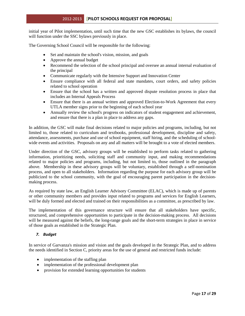initial year of Pilot implementation, until such time that the new GSC establishes its bylaws, the council will function under the SSC bylaws previously in place.

The Governing School Council will be responsible for the following:

- Set and maintain the school's vision, mission, and goals
- Approve the annual budget
- Recommend the selection of the school principal and oversee an annual internal evaluation of the principal
- Communicate regularly with the Intensive Support and Innovation Center
- Ensure compliance with all federal and state mandates, court orders, and safety policies related to school operation
- Ensure that the school has a written and approved dispute resolution process in place that includes an Internal Appeals Process
- Ensure that there is an annual written and approved Election-to-Work Agreement that every UTLA member signs prior to the beginning of each school year
- Annually review the school's progress on indicators of student engagement and achievement, and ensure that there is a plan in place to address any gaps.

In addition, the GSC will make final decisions related to major policies and programs, including, but not limited to, those related to curriculum and textbooks, professional development, discipline and safety, attendance, assessments, purchase and use of school equipment, staff hiring, and the scheduling of schoolwide events and activities. Proposals on any and all matters will be brought to a vote of elected members.

Under direction of the GSC, advisory groups will be established to perform tasks related to gathering information, prioritizing needs, soliciting staff and community input, and making recommendations related to major policies and programs, including, but not limited to, those outlined in the paragraph above. Membership in these advisory groups will be voluntary, established through a self-nomination process, and open to all stakeholders. Information regarding the purpose for each advisory group will be publicized to the school community, with the goal of encouraging parent participation in the decisionmaking process.

As required by state law, an English Learner Advisory Committee (ELAC), which is made up of parents or other community members and provides input related to programs and services for English Learners, will be duly formed and elected and trained on their responsibilities as a committee, as prescribed by law.

The implementation of this governance structure will ensure that all stakeholders have specific, structured, and comprehensive opportunities to participate in the decision-making process. All decisions will be measured against the beliefs, the long-range goals and the short-term strategies in place in service of those goals as established in the Strategic Plan.

# *7. Budget*

In service of Garvanza's mission and vision and the goals developed in the Strategic Plan, and to address the needs identified in Section C, priority areas for the use of general and restricted funds include:

- implementation of the staffing plan
- implementation of the professional development plan
- provision for extended learning opportunities for students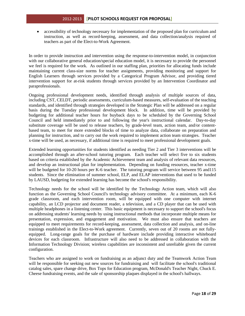• accessibility of technology necessary for implementation of the proposed plan for curriculum and instruction, as well as record-keeping, assessment, and data collection/analysis required of teachers as part of the Elect-to-Work Agreement.

In order to provide instruction and intervention using the response-to-intervention model, in conjunction with our collaborative general education/special education model, it is necessary to provide the personnel we feel is required for the work. As outlined in our staffing plan, priorities for allocating funds include maintaining current class-size norms for teacher assignments, providing monitoring and support for English Learners through services provided by a Categorical Program Advisor, and providing tiered intervention support for at-risk students through services provided by an Intervention Coordinator and paraprofessionals.

Ongoing professional development needs, identified through analysis of multiple sources of data, including CST, CELDT, periodic assessments, curriculum-based measures, self-evaluation of the teaching standards, and identified through strategies developed in the Strategic Plan will be addressed on a regular basis during the Tuesday professional development block. In addition, time will be provided by budgeting for additional teacher hours for buyback days to be scheduled by the Governing School Council and held immediately prior to and following the year's instructional calendar. Day-to-day substitute coverage will be used to release teachers, by grade-level team, action team, and/or contentbased team, to meet for more extended blocks of time to analyze data, collaborate on preparation and planning for instruction, and to carry out the work required to implement action team strategies. Teacher x-time will be used, as necessary, if additional time is required to meet professional development goals.

Extended learning opportunities for students identified as needing Tier 2 and Tier 3 interventions will be accomplished through an after-school tutoring program. Each teacher will select five to six students based on criteria established by the Academic Achievement team and analysis of relevant data resources, and develop an instructional plan for implementation. Depending on funding resources, teacher x-time will be budgeted for 10-20 hours per K-6 teacher. The tutoring program will service between 95 and 115 students. Since the elimination of summer school, ELP, and ELAP interventions that used to be funded by LAUSD, budgeting for extended learning has become the school's responsibility.

Technology needs for the school will be identified by the Technology Action team, which will also function as the Governing School Council's technology advisory committee. At a minimum, each K-6 grade classroom, and each intervention room, will be equipped with one computer with internet capability, an LCD projector and document reader, a television, and a CD player that can be used with multiple headphones in a listening center. This basic equipment is necessary to support the school's focus on addressing students' learning needs by using instructional methods that incorporate multiple means for presentation, expression, and engagement and motivation. We must also ensure that teachers are equipped to meet requirements for record-keeping, assessment, data collection and analysis, and on-line trainings established in the Elect-to-Work agreement. Currently, seven out of 20 rooms are not fullyequipped. Long-range goals for the purchase of hardware include providing interactive whiteboard devices for each classroom. Infrastructure will also need to be addressed in collaboration with the Information Technology Division; wireless capabilities are inconsistent and unreliable given the current configuration.

Teachers who are assigned to work on fundraising as an adjunct duty and the Teamwork Action Team will be responsible for seeking out new sources for fundraising and will facilitate the school's traditional catalog sales, spare change drive, Box Tops for Education program, McDonald's Teacher Night, Chuck E. Cheese fundraising events, and the sale of sponsorship plaques displayed in the school's hallways.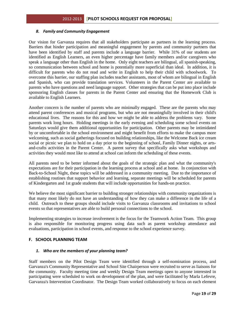#### *8. Family and Community Engagement*

Our vision for Garvanza requires that all stakeholders participate as partners in the learning process. Barriers that hinder participation and meaningful engagement by parents and community partners that have been identified by staff and parents include a language barrier. While 31% of our students are identified as English Learners, an even higher percentage have family members and/or caregivers who speak a language other than English in the home. Only eight teachers are bilingual, all spanish-speaking, so communication between school and home is potentially more superficial than ideal. In addition, it is difficult for parents who do not read and write in English to help their child with schoolwork. To overcome this barrier, our staffing plan includes teacher assistants, most of whom are bilingual in English and Spanish, who can provide translation services. Volunteers in the Parent Center are available to parents who have questions and need language support. Other strategies that can be put into place include sponsoring English classes for parents in the Parent Center and ensuring that the Homework Club is available to English Learners.

Another concern is the number of parents who are minimally engaged. These are the parents who may attend parent conferences and musical programs, but who are not meaningfully involved in their child's educational lives. The reasons for this and how we might be able to address the problems vary. Some parents work long hours. Holding meetings in the early evening and scheduling some school events on Saturdays would give them additional opportunities for participation. Other parents may be intimidated by or uncomfortable in the school environment and might benefit from efforts to make the campus more welcoming, such as social gatherings focused on building relationships, like the Welcome Back ice cream social or picnic we plan to hold on a day prior to the beginning of school, Family Dinner nights, or artsand-crafts activities in the Parent Center. A parent survey that specifically asks what workshops and activities they would most like to attend at school can inform the scheduling of these events.

All parents need to be better informed about the goals of the strategic plan and what the community's expectations are for their participation in the learning process at school and at home. In conjunction with Back-to-School Night, these topics will be addressed in a community meeting. Due to the importance of establishing routines that support behavior and learning, separate meetings will be scheduled for parents of Kindergarten and 1st grade students that will include opportunities for hands-on practice.

We believe the most significant barrier to building stronger relationships with community organizations is that many most likely do not have an understanding of how they can make a difference in the life of a child. Outreach to these groups should include visits to Garvanza classrooms and invitations to school events so that representatives are able to build personal connections to the school.

Implementing strategies to increase involvement is the focus for the Teamwork Action Team. This group is also responsible for monitoring progress using data such as parent workshop attendance and evaluations, participation in school events, and response to the school experience survey.

# **F. SCHOOL PLANNING TEAM**

#### *1. Who are the members of your planning team?*

Staff members on the Pilot Design Team were identified through a self-nomination process, and Garvanza's Community Representative and School Site Chairperson were recruited to serve as liaisons for the community. Faculty meeting time and weekly Design Team meetings open to anyone interested in participating were scheduled to work on development of the plan, and were facilitated by Marla Lefevre, Garvanza's Intervention Coordinator. The Design Team worked collaboratively to focus on each element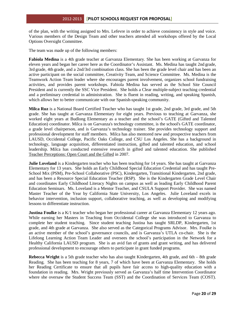of the plan, with the writing assigned to Mrs. Lefevre in order to achieve consistency in style and voice. Various members of the Design Team and other teachers attended all workshops offered by the Local Options Oversight Committee.

The team was made up of the following members:

**Fabiola Medina** is a 4th grade teacher at Garvanza Elementary. She has been working at Garvanza for eleven years and began her career here as the Coordinator's Assistant. Ms. Medina has taught 2nd grade, 3rd grade, 4th grade, and a 2nd/3rd combination class. She has been the grade level chair and has been an active participant on the social committee, Creativity Team, and Science Committee. Ms. Medina is the Teamwork Action Team leader where she encourages parent involvement, organizes school fundraising activities, and provides parent workshops. Fabiola Medina has served as the School Site Council President and is currently the SSC Vice President. She holds a Clear multiple-subject teaching credential and a preliminary credential in administration. She is fluent in reading, writing, and speaking Spanish, which allows her to better communicate with our Spanish-speaking community.

**Milca Ruz** is a National Board Certified Teacher who has taught 1st grade, 2nd grade, 3rd grade, and 5th grade. She has taught at Garvanza Elementary for eight years. Previous to teaching at Garvanza, she worked eight years at Budlong Elementary as a teacher and the school's GATE (Gifted and Talented Education) coordinator. Milca is on Garvanza's technology committee, is the school's GATE coordinator, a grade level chairperson, and is Garvanza's technology trainer. She provides technology support and professional development for staff members. Milca has also mentored new and prospective teachers from LAUSD, Occidental College, Pacific Oaks College, and CSU Los Angeles. She has a background in technology, language acquisition, differentiated instruction, gifted and talented education, and school leadership. Milca has conducted extensive research in gifted and talented education. She published Teacher Perceptions: Open Court and the Gifted in 2007.

**Julie Loveland** is a Kindergarten teacher who has been teaching for 14 years. She has taught at Garvanza Elementary for 13 years. She holds an Early Childhood Special Education Credential and has taught Pre-School Mix (PSM), Pre-School Collaborative (PSC), Kindergarten, Transitional Kindergarten, 2nd grade, and has been a Resource Special Education Teacher (RSP). She is the Kindergarten Grade Level Chair and coordinates Early Childhood Literacy Nights on campus as well as leading Early Childhood Parent Education Seminars. Ms. Loveland is a Mentor Teacher, and CSULA Support Provider. She was named Master Teacher of the Year by California State University, Los Angeles. Julie Loveland excels in behavior intervention, inclusion support, collaborative teaching, as well as developing and modifying lessons to differentiate instruction.

**Justina Foulke** is a K/1 teacher who began her professional career at Garvanza Elementary 12 years ago. While earning her Masters in Teaching from Occidental College she was introduced to Garvanza to complete her student teaching. Since student teaching Justina has taught SRLDP, Kindergarten, 1st grade, and 4th grade at Garvanza. She also served as the Categorical Programs Advisor. Mrs. Foulke is an active member of the school's governance councils, and is Garvanza's UTLA co-chair. She is the Lifelong Learning Action Team Leader and oversees the school's participation in the Network for a Healthy California LAUSD program. She is an avid fan of grants and grant writing, and has delivered professional development to encourage others to participate in grant funded programs.

**Rebecca Wright** is a 5th grade teacher who has also taught Kindergarten, 4th grade, and 6th – 8th grade Reading. She has been teaching for 8 years, 7 of which have been at Garvanza Elementary. She holds her Reading Certificate to ensure that all pupils have fair access to high-quality education with a foundation in reading. Mrs. Wright previously served as Garvanza's half time Intervention Coordinator where she oversaw the Student Success Team (SST) and the Coordination of Services Team (COST).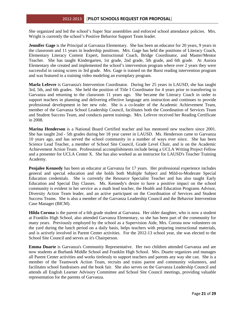She organized and led the school's Super Star assemblies and enforced school attendance policies. Mrs. Wright is currently the school's Positive Behavior Support Team leader.

**Jennifer Gage** is the Principal at Garvanza Elementary. She has been an educator for 20 years, 9 years in the classroom and 11 years in leadership positions. Mrs. Gage has held the positions of Literacy Coach, Elementary Literacy Content Expert, Instructional Coach, Bridge Coordinator, and Master/Mentor Teacher. She has taught Kindergarten, 1st grade, 2nd grade, 5th grade, and 6th grade. At Aurora Elementary she created and implemented the school's intervention program where over 2 years they were successful in raising scores in 3rd grade. Mrs. Gage is trained on the Burst reading intervention program and was featured in a training video modeling an exemplary program.

**Marla Lefevre** is Garvanza's Intervention Coordinator. During her 25 years in LAUSD, she has taught 3rd, 5th, and 6th grades. She held the position of Title I Coordinator for 4 years prior to transferring to Garvanza and returning to the classroom 11 years ago. She became the Literacy Coach in order to support teachers in planning and delivering effective language arts instruction and continues to provide professional development in her new role. She is a co-leader of the Academic Achievement Team, member of the Garvanza School Leadership Council, facilitates both the Coordination of Services Team and Student Success Team, and conducts parent trainings. Mrs. Lefevre received her Reading Certificate in 2008.

**Marina Henderson** is a National Board Certified teacher and has mentored new teachers since 2001. She has taught 2nd - 5th grades during her 18 year career in LAUSD. Ms. Henderson came to Garvanza 10 years ago, and has served the school community in a number of ways ever since. She has been Science Lead Teacher, a member of School Site Council, Grade Level Chair, and is on the Academic Achievement Action Team. Professional accomplishments include being a UCLA Writing Project Fellow and a presenter for UCLA Center X. She has also worked as an instructor for LAUSD's Teacher Training Academy.

**Penjalee Kennedy** has been an educator at Garvanza for 17 years. Her professional experience includes general and special education and she holds both Multiple Subject and Mild-to-Moderate Special Education credentials. She is currently the Resource Specialist Teacher and has also taught Early Education and Special Day Classes. Ms. Kennedy's desire to have a positive impact on the school community is evident in her service as a math lead teacher, the Health and Education Programs Advisor, Diversity Action Team leader, and an active participant on the Coordination of Services and Student Success Teams. She is also a member of the Garvanza Leadership Council and the Behavior Intervention Case Manager (BICM).

**Hilda Corona** is the parent of a 6th grade student at Garvanza. Her older daughter, who is now a student at Franklin High School, also attended Garvanza Elementary, so she has been part of the community for many years. Previously employed by the school as a Supervision Aide, Mrs. Corona now volunteers on the yard during the lunch period on a daily basis, helps teachers with preparing instructional materials, and is actively involved in Parent Center activities. For the 2012-13 school year, she was elected to the School Site Council and serves as it's Chairperson.

**Emma Duarte** is Garvanza's Community Representative. Her two children attended Garvanza and are now students at Burbank Middle School and Franklin High School. Mrs. Duarte organizes and manages all Parent Center activities and works tirelessly to support teachers and parents any way she can. She is a member of the Teamwork Action Team, recruits and trains parent and community volunteers, and facilitates school fundraisers and the book fair. She also serves on the Garvanza Leadership Council and attends all English Learner Advisory Committee and School Site Council meetings, providing valuable representation for the parents of Garvanza.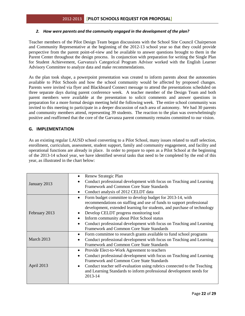# *2. How were parents and the community engaged in the development of the plan?*

Teacher members of the Pilot Design Team began discussions with the School Site Council Chairperson and Community Representative at the beginning of the 2012-13 school year so that they could provide perspective from the parent point-of-view and be available to answer questions brought to them in the Parent Center throughout the design process. In conjunction with preparation for writing the Single Plan for Student Achievement, Garvanza's Categorical Program Advisor worked with the English Learner Advisory Committee to analyze data and make recommendations.

As the plan took shape, a powerpoint presentation was created to inform parents about the autonomies available to Pilot Schools and how the school community would be affected by proposed changes. Parents were invited via flyer and Blackboard Connect message to attend the presentations scheduled on three separate days during parent conference week. A teacher member of the Design Team and both parent members were available at the presentation to solicit comments and answer questions in preparation for a more formal design meeting held the following week. The entire school community was invited to this meeting to participate in a deeper discussion of each area of autonomy. We had 30 parents and community members attend, representing 39 students. The reaction to the plan was overwhelmingly positive and reaffirmed that the core of the Garvanza parent community remains committed to our vision.

# **G. IMPLEMENTATION**

As an existing regular LAUSD school converting to a Pilot School, many issues related to staff selection, enrollment, curriculum, assessment, student support, family and community engagement, and facility and operational functions are already in place. In order to prepare to open as a Pilot School at the beginning of the 2013-14 school year, we have identified several tasks that need to be completed by the end of this year, as illustrated in the chart below:

| January 2013  | Renew Strategic Plan<br>٠<br>Conduct professional development with focus on Teaching and Learning<br>Framework and Common Core State Standards<br>Conduct analysis of 2012 CELDT data<br>٠                                                                                                                                                                                                                                                                            |  |  |
|---------------|-----------------------------------------------------------------------------------------------------------------------------------------------------------------------------------------------------------------------------------------------------------------------------------------------------------------------------------------------------------------------------------------------------------------------------------------------------------------------|--|--|
| February 2013 | Form budget committee to develop budget for 2013-14, with<br>$\bullet$<br>recommendations on staffing and use of funds to support professional<br>development, extended learning for students, and purchase of technology<br>Develop CELDT progress monitoring tool<br>٠<br>Inform community about Pilot School status<br>$\bullet$<br>Conduct professional development with focus on Teaching and Learning<br>$\bullet$<br>Framework and Common Core State Standards |  |  |
| March 2013    | Form committee to research grants available to fund school programs<br>$\bullet$<br>Conduct professional development with focus on Teaching and Learning<br>٠<br>Framework and Common Core State Standards                                                                                                                                                                                                                                                            |  |  |
| April 2013    | Provide Elect-to-Work Agreement to teachers<br>٠<br>Conduct professional development with focus on Teaching and Learning<br>$\bullet$<br>Framework and Common Core State Standards<br>Conduct teacher self-evaluation using rubrics connected to the Teaching<br>$\bullet$<br>and Learning Standards to inform professional development needs for<br>2013-14                                                                                                          |  |  |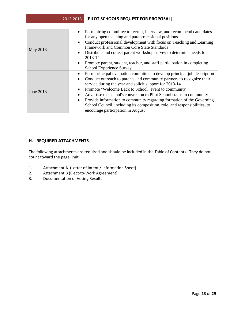| May 2013  | Form hiring committee to recruit, interview, and recommend candidates<br>$\bullet$<br>for any open teaching and paraprofessional positions<br>Conduct professional development with focus on Teaching and Learning<br>$\bullet$<br>Framework and Common Core State Standards<br>Distribute and collect parent workshop survey to determine needs for<br>$\bullet$<br>2013-14<br>Promote parent, student, teacher, and staff participation in completing<br>$\bullet$<br>School Experience Survey                                                                                         |
|-----------|------------------------------------------------------------------------------------------------------------------------------------------------------------------------------------------------------------------------------------------------------------------------------------------------------------------------------------------------------------------------------------------------------------------------------------------------------------------------------------------------------------------------------------------------------------------------------------------|
| June 2013 | Form principal evaluation committee to develop principal job description<br>$\bullet$<br>Conduct outreach to parents and community partners to recognize their<br>$\bullet$<br>service during the year and solicit support for 2013-14<br>Promote "Welcome Back to School" event to community<br>٠<br>Advertise the school's conversion to Pilot School status to community<br>٠<br>Provide information to community regarding formation of the Governing<br>$\bullet$<br>School Council, including its composition, role, and responsibilities, to<br>encourage participation in August |

# **H. REQUIRED ATTACHMENTS**

The following attachments are required and should be included in the Table of Contents. They do not count toward the page limit.

- 1. Attachment A (Letter of Intent / Information Sheet)
- 2. Attachment B (Elect-to-Work Agreement)
- 3. Documentation of Voting Results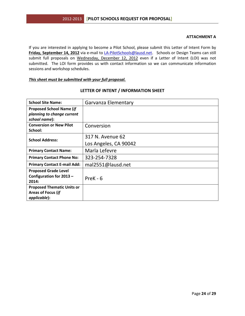#### **ATTACHMENT A**

If you are interested in applying to become a Pilot School, please submit this Letter of Intent Form by **Friday, September 14, 2012** via e-mail to *LA-PilotSchools@lausd.net.* Schools or Design Teams can still submit full proposals on Wednesday, December 12, 2012 even if a Letter of Intent (LOI) was not submitted. The LOI form provides us with contact information so we can communicate information sessions and workshop schedules.

#### *This sheet must be submitted with your full proposal.*

| <b>School Site Name:</b>                                                       | Garvanza Elementary                       |
|--------------------------------------------------------------------------------|-------------------------------------------|
| <b>Proposed School Name (if</b><br>planning to change current<br>school name): |                                           |
| <b>Conversion or New Pilot</b><br>School:                                      | Conversion                                |
| <b>School Address:</b>                                                         | 317 N. Avenue 62<br>Los Angeles, CA 90042 |
| <b>Primary Contact Name:</b>                                                   | Marla Lefevre                             |
| <b>Primary Contact Phone No:</b>                                               | 323-254-7328                              |
| <b>Primary Contact E-mail Add:</b>                                             | mal2551@lausd.net                         |
| <b>Proposed Grade Level</b><br>Configuration for 2013 -<br>2014:               | $PreK - 6$                                |
| <b>Proposed Thematic Units or</b><br>Areas of Focus (if<br>applicable):        |                                           |

# **LETTER OF INTENT / INFORMATION SHEET**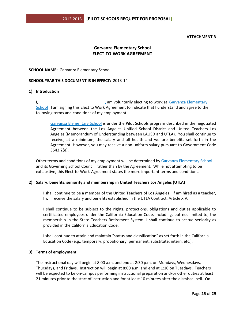#### **ATTACHMENT B**

# **Garvanza Elementary School ELECT-TO-WORK AGREEMENT**

#### **SCHOOL NAME:** Garvanza Elementary School

#### **SCHOOL YEAR THIS DOCUMENT IS IN EFFECT:** 2013-14

#### **1) Introduction**

I, \_\_\_\_\_\_\_\_\_\_\_\_\_\_\_\_\_\_\_\_\_\_\_\_\_\_\_\_\_\_, am voluntarily electing to work at Garvanza Elementary School I am signing this Elect to Work Agreement to indicate that I understand and agree to the following terms and conditions of my employment.

Garvanza Elementary School is under the Pilot Schools program described in the negotiated Agreement between the Los Angeles Unified School District and United Teachers Los Angeles (Memorandum of Understanding between LAUSD and UTLA). You shall continue to receive, at a minimum, the salary and all health and welfare benefits set forth in the Agreement. However, you may receive a non-uniform salary pursuant to Government Code 3543.2(e).

Other terms and conditions of my employment will be determined by Garvanza Elementary School and its Governing School Council, rather than by the Agreement. While not attempting to be exhaustive, this Elect-to-Work-Agreement states the more important terms and conditions.

#### **2) Salary, benefits, seniority and membership in United Teachers Los Angeles (UTLA)**

I shall continue to be a member of the United Teachers of Los Angeles. If am hired as a teacher, I will receive the salary and benefits established in the UTLA Contract, Article XIV.

I shall continue to be subject to the rights, protections, obligations and duties applicable to certificated employees under the California Education Code, including, but not limited to, the membership in the State Teachers Retirement System. I shall continue to accrue seniority as provided in the California Education Code.

I shall continue to attain and maintain "status and classification" as set forth in the California Education Code (e.g., temporary, probationary, permanent, substitute, intern, etc.).

#### **3) Terms of employment**

The instructional day will begin at 8:00 a.m. and end at 2:30 p.m. on Mondays, Wednesdays, Thursdays, and Fridays. Instruction will begin at 8:00 a.m. and end at 1:10 on Tuesdays. Teachers will be expected to be on-campus performing instructional preparation and/or other duties at least 21 minutes prior to the start of instruction and for at least 10 minutes after the dismissal bell. On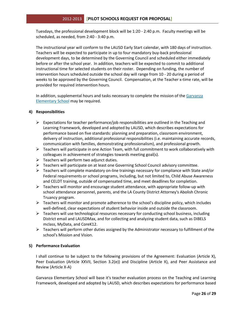Tuesdays, the professional development block will be 1:20 - 2:40 p.m. Faculty meetings will be scheduled, as needed, from 2:40 - 3:40 p.m.

The instructional year will conform to the LAUSD Early Start calendar, with 180 days of instruction. Teachers will be expected to participate in up to four mandatory buy-back professional development days, to be determined by the Governing Council and scheduled either immediately before or after the school year. In addition, teachers will be expected to commit to additional instructional time for selected students on their roster. Depending on funding, the number of intervention hours scheduled outside the school day will range from 10 - 20 during a period of weeks to be approved by the Governing Council. Compensation, at the Teacher x-time rate, will be provided for required intervention hours.

In addition, supplemental hours and tasks necessary to complete the mission of the Garvanza Elementary School may be required.

# **4) Responsibilities**

- $\triangleright$  Expectations for teacher performance/job responsibilities are outlined in the Teaching and Learning Framework, developed and adopted by LAUSD, which describes expectations for performance based on five standards: planning and preparation, classroom environment, delivery of instruction, additional professional responsibilities (i.e. maintaining accurate records, communication with families, demonstrating professionalism), and professional growth.
- $\triangleright$  Teachers will participate in one Action Team, with full commitment to work collaboratively with colleagues in achievement of strategies towards meeting goal(s).
- $\triangleright$  Teachers will perform two adjunct duties.
- $\triangleright$  Teachers will participate on at least one Governing School Council advisory committee.
- $\triangleright$  Teachers will complete mandatory on-line trainings necessary for compliance with State and/or Federal requirements or school programs, including, but not limited to, Child Abuse Awareness and CELDT training, outside of compensated time, and meet deadlines for completion.
- $\triangleright$  Teachers will monitor and encourage student attendance, with appropriate follow-up with school attendance personnel, parents, and the LA County District Attorney's Abolish Chronic Truancy program.
- $\triangleright$  Teachers will monitor and promote adherence to the school's discipline policy, which includes well-defined, clear expectations of student behavior inside and outside the classroom.
- $\triangleright$  Teachers will use technological resources necessary for conducting school business, including District email and LAUSDMax, and for collecting and analyzing student data, such as DIBELS mclass, MyData, and CoreK12.
- $\triangleright$  Teachers will perform other duties assigned by the Administrator necessary to fulfillment of the school's Mission and Vision.

# **5) Performance Evaluation**

I shall continue to be subject to the following provisions of the Agreement: Evaluation (Article X), Peer Evaluation (Article XXVII, Section 3.2(e)) and Discipline (Article X), and Peer Assistance and Review (Article X-A)

Garvanza Elementary School will base it's teacher evaluation process on the Teaching and Learning Framework, developed and adopted by LAUSD, which describes expectations for performance based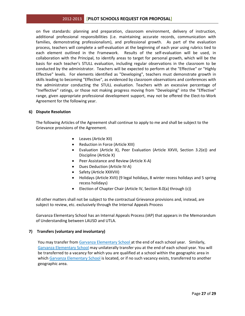on five standards: planning and preparation, classroom environment, delivery of instruction, additional professional responsibilities (i.e. maintaining accurate records, communication with families, demonstrating professionalism), and professional growth. As part of the evaluation process, teachers will complete a self-evaluation at the beginning of each year using rubrics tied to each element outlined in the Framework. Results of the self-evaluation will be used, in collaboration with the Principal, to identify areas to target for personal growth, which will be the basis for each teacher's STULL evaluation, including regular observations in the classroom to be conducted by the administrator. Teachers will be expected to perform at the "Effective" or "Highly Effective" levels. For elements identified as "Developing", teachers must demonstrate growth in skills leading to becoming "Effective", as evidenced by classroom observations and conferences with the administrator conducting the STULL evaluation. Teachers with an excessive percentage of "Ineffective" ratings, or those not making progress moving from "Developing" into the "Effective" range, given appropriate professional development support, may not be offered the Elect-to-Work Agreement for the following year.

## **6) Dispute Resolution**

The following Articles of the Agreement shall continue to apply to me and shall be subject to the Grievance provisions of the Agreement.

- Leaves (Article XII)
- Reduction in Force (Article XIII)
- Evaluation (Article X), Peer Evaluation (Article XXVII, Section 3.2(e)) and Discipline (Article X)
- Peer Assistance and Review (Article X-A)
- Dues Deduction (Article IV-A)
- Safety (Article XXXVIII)
- Holidays (Article XVII) (9 legal holidays, 8 winter recess holidays and 5 spring recess holidays)
- Election of Chapter Chair (Article IV, Section 8.0(a) through (c))

All other matters shall not be subject to the contractual Grievance provisions and, instead, are subject to review, etc. exclusively through the Internal Appeals Process

Garvanza Elementary School has an Internal Appeals Process (IAP) that appears in the Memorandum of Understanding between LAUSD and UTLA.

#### **7) Transfers (voluntary and involuntary)**

You may transfer from Garvanza Elementary School at the end of each school year. Similarly, Garvanza Elementary School may unilaterally transfer you at the end of each school year. You will be transferred to a vacancy for which you are qualified at a school within the geographic area in which Garvanza Elementary School is located, or if no such vacancy exists, transferred to another geographic area.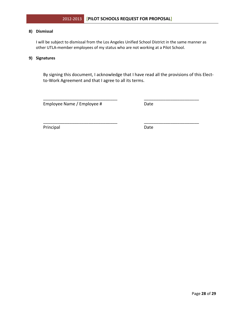## **8) Dismissal**

 I will be subject to dismissal from the Los Angeles Unified School District in the same manner as other UTLA-member employees of my status who are not working at a Pilot School.

\_\_\_\_\_\_\_\_\_\_\_\_\_\_\_\_\_\_\_\_\_\_\_\_\_\_\_\_\_\_\_ \_\_\_\_\_\_\_\_\_\_\_\_\_\_\_\_\_\_\_\_\_\_\_

\_\_\_\_\_\_\_\_\_\_\_\_\_\_\_\_\_\_\_\_\_\_\_\_\_\_\_\_\_\_\_ \_\_\_\_\_\_\_\_\_\_\_\_\_\_\_\_\_\_\_\_\_\_\_

## **9) Signatures**

By signing this document, I acknowledge that I have read all the provisions of this Electto-Work Agreement and that I agree to all its terms.

Employee Name / Employee # Date

Principal Date Date